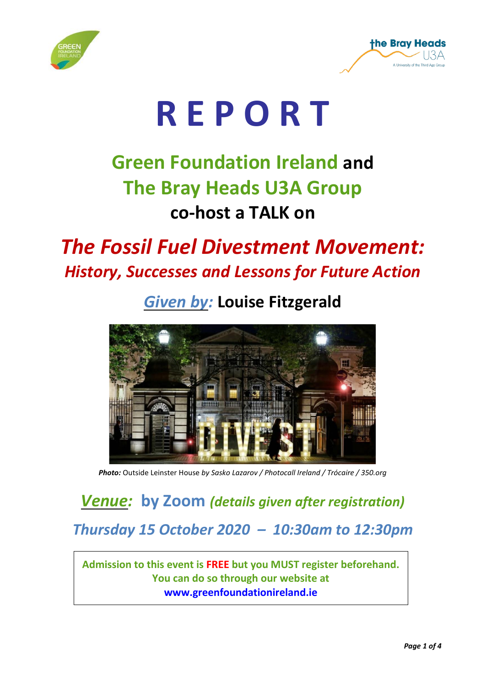



# **R E P O R T**

# **Green Foundation Ireland and The Bray Heads U3A Group co-host a TALK on**

# *The Fossil Fuel Divestment Movement: History, Successes and Lessons for Future Action*

## *Given by:* **Louise Fitzgerald**



*Photo:* Outside Leinster House *by Sasko Lazarov / Photocall Ireland / Trócaire / 350.org*

### *Venue:* **by Zoom** *(details given after registration)*

#### *Thursday 15 October 2020 – 10:30am to 12:30pm*

**Admission to this event is FREE but you MUST register beforehand. You can do so through our website at [www.greenfoundationireland.ie](http://www.greenfoundationireland.ie/)**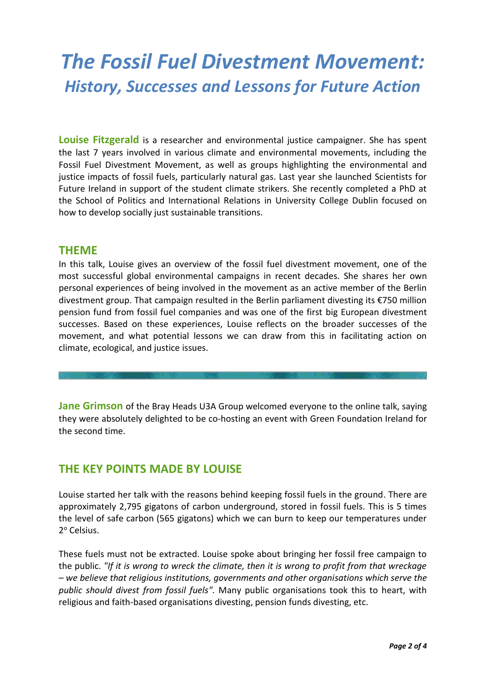# *The Fossil Fuel Divestment Movement: History, Successes and Lessons for Future Action*

**Louise Fitzgerald** is a researcher and environmental justice campaigner. She has spent the last 7 years involved in various climate and environmental movements, including the Fossil Fuel Divestment Movement, as well as groups highlighting the environmental and justice impacts of fossil fuels, particularly natural gas. Last year she launched Scientists for Future Ireland in support of the student climate strikers. She recently completed a PhD at the School of Politics and International Relations in University College Dublin focused on how to develop socially just sustainable transitions.

#### **THEME**

In this talk, Louise gives an overview of the fossil fuel divestment movement, one of the most successful global environmental campaigns in recent decades. She shares her own personal experiences of being involved in the movement as an active member of the Berlin divestment group. That campaign resulted in the Berlin parliament divesting its €750 million pension fund from fossil fuel companies and was one of the first big European divestment successes. Based on these experiences, Louise reflects on the broader successes of the movement, and what potential lessons we can draw from this in facilitating action on climate, ecological, and justice issues.

**Jane Grimson** of the Bray Heads U3A Group welcomed everyone to the online talk, saying they were absolutely delighted to be co-hosting an event with Green Foundation Ireland for the second time.

#### **THE KEY POINTS MADE BY LOUISE**

Louise started her talk with the reasons behind keeping fossil fuels in the ground. There are approximately 2,795 gigatons of carbon underground, stored in fossil fuels. This is 5 times the level of safe carbon (565 gigatons) which we can burn to keep our temperatures under 2º Celsius.

These fuels must not be extracted. Louise spoke about bringing her fossil free campaign to the public. *"If it is wrong to wreck the climate, then it is wrong to profit from that wreckage – we believe that religious institutions, governments and other organisations which serve the public should divest from fossil fuels".* Many public organisations took this to heart, with religious and faith-based organisations divesting, pension funds divesting, etc.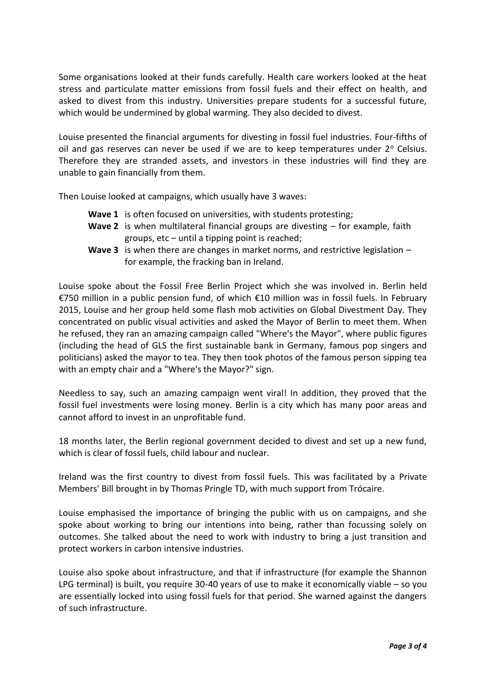Some organisations looked at their funds carefully. Health care workers looked at the heat stress and particulate matter emissions from fossil fuels and their effect on health, and asked to divest from this industry. Universities prepare students for a successful future, which would be undermined by global warming. They also decided to divest.

Louise presented the financial arguments for divesting in fossil fuel industries. Four-fifths of oil and gas reserves can never be used if we are to keep temperatures under  $2^{\circ}$  Celsius. Therefore they are stranded assets, and investors in these industries will find they are unable to gain financially from them.

Then Louise looked at campaigns, which usually have 3 waves:

- **Wave 1** is often focused on universities, with students protesting;
- **Wave 2** is when multilateral financial groups are divesting for example, faith groups, etc – until a tipping point is reached;
- **Wave 3** is when there are changes in market norms, and restrictive legislation for example, the fracking ban in Ireland.

Louise spoke about the Fossil Free Berlin Project which she was involved in. Berlin held €750 million in a public pension fund, of which €10 million was in fossil fuels. In February 2015, Louise and her group held some flash mob activities on Global Divestment Day. They concentrated on public visual activities and asked the Mayor of Berlin to meet them. When he refused, they ran an amazing campaign called "Where's the Mayor", where public figures (including the head of GLS the first sustainable bank in Germany, famous pop singers and politicians) asked the mayor to tea. They then took photos of the famous person sipping tea with an empty chair and a "Where's the Mayor?" sign.

Needless to say, such an amazing campaign went viral! In addition, they proved that the fossil fuel investments were losing money. Berlin is a city which has many poor areas and cannot afford to invest in an unprofitable fund.

18 months later, the Berlin regional government decided to divest and set up a new fund, which is clear of fossil fuels, child labour and nuclear.

Ireland was the first country to divest from fossil fuels. This was facilitated by a Private Members' Bill brought in by Thomas Pringle TD, with much support from Trócaire.

Louise emphasised the importance of bringing the public with us on campaigns, and she spoke about working to bring our intentions into being, rather than focussing solely on outcomes. She talked about the need to work with industry to bring a just transition and protect workers in carbon intensive industries.

Louise also spoke about infrastructure, and that if infrastructure (for example the Shannon LPG terminal) is built, you require 30-40 years of use to make it economically viable – so you are essentially locked into using fossil fuels for that period. She warned against the dangers of such infrastructure.